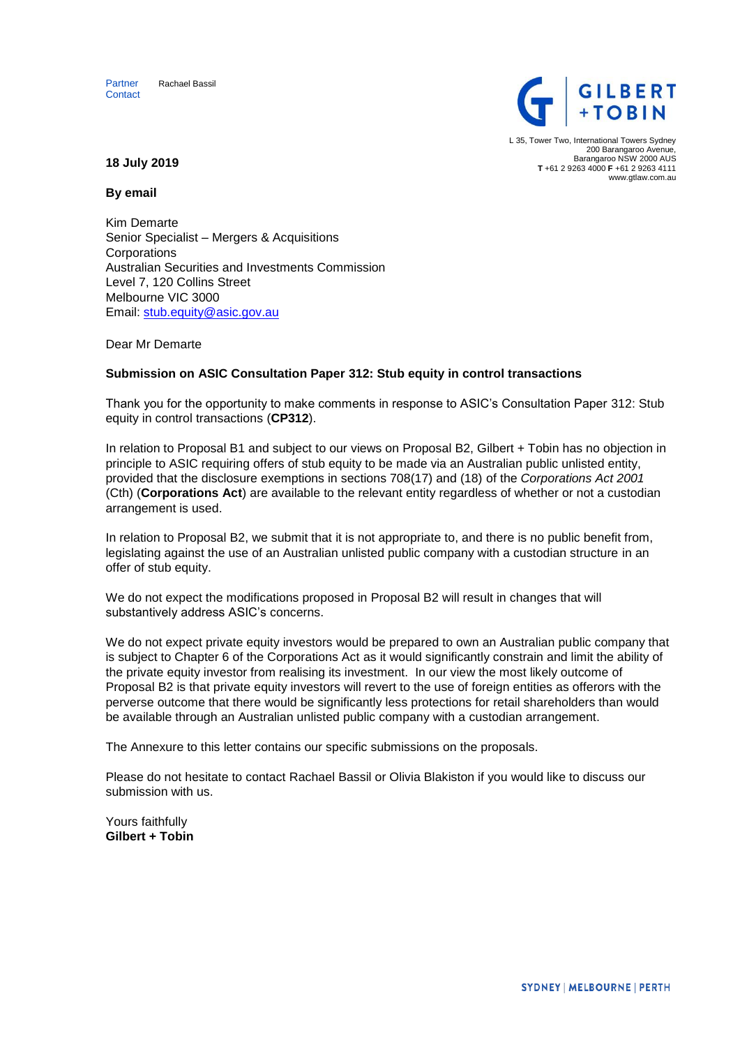



L 35, Tower Two, International Towers Sydney 200 Barangaroo Avenue, Barangaroo NSW 2000 AUS **T** +61 2 9263 4000 **F** +61 2 9263 4111 www.gtlaw.com.au

**18 July 2019**

**By email**

Kim Demarte Senior Specialist – Mergers & Acquisitions Corporations Australian Securities and Investments Commission Level 7, 120 Collins Street Melbourne VIC 3000 Email: stub.equity@asic.gov.au

Dear Mr Demarte

## **Submission on ASIC Consultation Paper 312: Stub equity in control transactions**

Thank you for the opportunity to make comments in response to ASIC's Consultation Paper 312: Stub equity in control transactions (**CP312**).

In relation to Proposal B1 and subject to our views on Proposal B2, Gilbert + Tobin has no objection in principle to ASIC requiring offers of stub equity to be made via an Australian public unlisted entity, provided that the disclosure exemptions in sections 708(17) and (18) of the *Corporations Act 2001*  (Cth) (**Corporations Act**) are available to the relevant entity regardless of whether or not a custodian arrangement is used.

In relation to Proposal B2, we submit that it is not appropriate to, and there is no public benefit from, legislating against the use of an Australian unlisted public company with a custodian structure in an offer of stub equity.

We do not expect the modifications proposed in Proposal B2 will result in changes that will substantively address ASIC's concerns.

We do not expect private equity investors would be prepared to own an Australian public company that is subject to Chapter 6 of the Corporations Act as it would significantly constrain and limit the ability of the private equity investor from realising its investment. In our view the most likely outcome of Proposal B2 is that private equity investors will revert to the use of foreign entities as offerors with the perverse outcome that there would be significantly less protections for retail shareholders than would be available through an Australian unlisted public company with a custodian arrangement.

The Annexure to this letter contains our specific submissions on the proposals.

Please do not hesitate to contact Rachael Bassil or Olivia Blakiston if you would like to discuss our submission with us.

Yours faithfully **Gilbert + Tobin**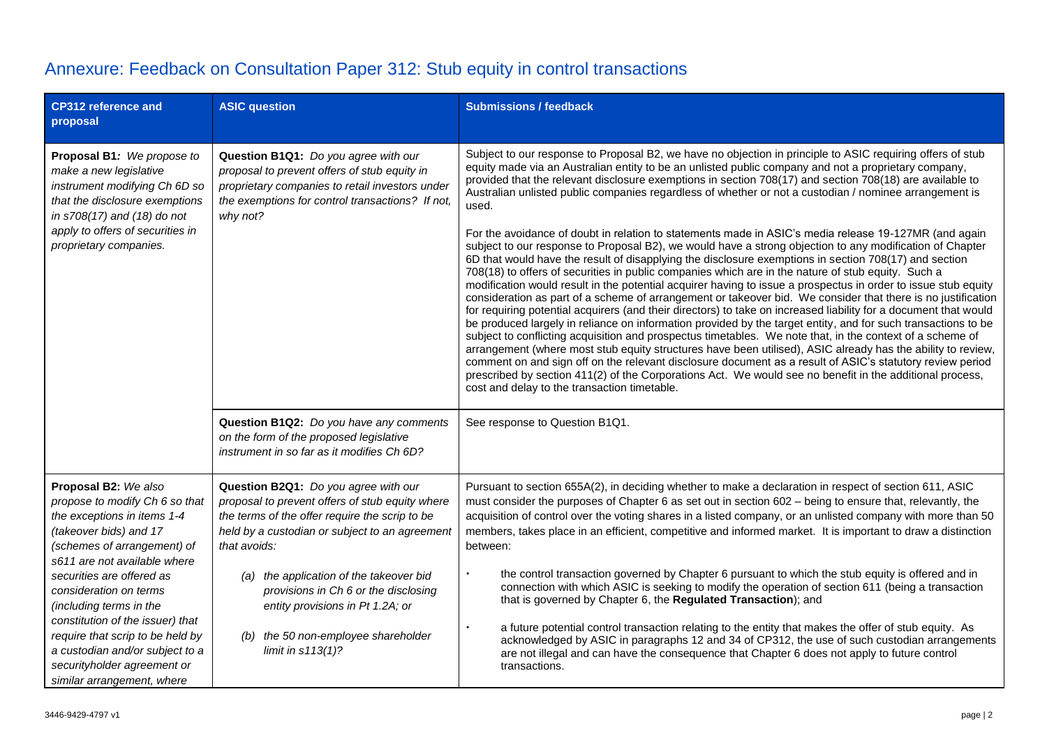|  | Annexure: Feedback on Consultation Paper 312: Stub equity in control transactions |  |  |
|--|-----------------------------------------------------------------------------------|--|--|
|--|-----------------------------------------------------------------------------------|--|--|

| <b>CP312 reference and</b><br>proposal                                                                                                                                                                                                                                                                                                                                                                                                   | <b>ASIC question</b>                                                                                                                                                                                        | <b>Submissions / feedback</b>                                                                                                                                                                                                                                                                                                                                                                                                                                                                                                                                                                                                                                                                                                                                                                                                                                                                                                                                                                                                                                                                                                                                                                                                                                                                                                                                                                                                                                                                                                                                                                                                                                                                                                                                                                                                                                     |
|------------------------------------------------------------------------------------------------------------------------------------------------------------------------------------------------------------------------------------------------------------------------------------------------------------------------------------------------------------------------------------------------------------------------------------------|-------------------------------------------------------------------------------------------------------------------------------------------------------------------------------------------------------------|-------------------------------------------------------------------------------------------------------------------------------------------------------------------------------------------------------------------------------------------------------------------------------------------------------------------------------------------------------------------------------------------------------------------------------------------------------------------------------------------------------------------------------------------------------------------------------------------------------------------------------------------------------------------------------------------------------------------------------------------------------------------------------------------------------------------------------------------------------------------------------------------------------------------------------------------------------------------------------------------------------------------------------------------------------------------------------------------------------------------------------------------------------------------------------------------------------------------------------------------------------------------------------------------------------------------------------------------------------------------------------------------------------------------------------------------------------------------------------------------------------------------------------------------------------------------------------------------------------------------------------------------------------------------------------------------------------------------------------------------------------------------------------------------------------------------------------------------------------------------|
| Proposal B1: We propose to<br>make a new legislative<br>instrument modifying Ch 6D so<br>that the disclosure exemptions<br>in s708(17) and (18) do not<br>apply to offers of securities in<br>proprietary companies.                                                                                                                                                                                                                     | Question B1Q1: Do you agree with our<br>proposal to prevent offers of stub equity in<br>proprietary companies to retail investors under<br>the exemptions for control transactions? If not,<br>why not?     | Subject to our response to Proposal B2, we have no objection in principle to ASIC requiring offers of stub<br>equity made via an Australian entity to be an unlisted public company and not a proprietary company,<br>provided that the relevant disclosure exemptions in section 708(17) and section 708(18) are available to<br>Australian unlisted public companies regardless of whether or not a custodian / nominee arrangement is<br>used.<br>For the avoidance of doubt in relation to statements made in ASIC's media release 19-127MR (and again<br>subject to our response to Proposal B2), we would have a strong objection to any modification of Chapter<br>6D that would have the result of disapplying the disclosure exemptions in section 708(17) and section<br>708(18) to offers of securities in public companies which are in the nature of stub equity. Such a<br>modification would result in the potential acquirer having to issue a prospectus in order to issue stub equity<br>consideration as part of a scheme of arrangement or takeover bid. We consider that there is no justification<br>for requiring potential acquirers (and their directors) to take on increased liability for a document that would<br>be produced largely in reliance on information provided by the target entity, and for such transactions to be<br>subject to conflicting acquisition and prospectus timetables. We note that, in the context of a scheme of<br>arrangement (where most stub equity structures have been utilised), ASIC already has the ability to review,<br>comment on and sign off on the relevant disclosure document as a result of ASIC's statutory review period<br>prescribed by section 411(2) of the Corporations Act. We would see no benefit in the additional process,<br>cost and delay to the transaction timetable. |
|                                                                                                                                                                                                                                                                                                                                                                                                                                          | Question B1Q2: Do you have any comments<br>on the form of the proposed legislative<br>instrument in so far as it modifies Ch 6D?                                                                            | See response to Question B1Q1.                                                                                                                                                                                                                                                                                                                                                                                                                                                                                                                                                                                                                                                                                                                                                                                                                                                                                                                                                                                                                                                                                                                                                                                                                                                                                                                                                                                                                                                                                                                                                                                                                                                                                                                                                                                                                                    |
| Proposal B2: We also<br>propose to modify Ch 6 so that<br>the exceptions in items 1-4<br>(takeover bids) and 17<br>(schemes of arrangement) of<br>s611 are not available where<br>securities are offered as<br>consideration on terms<br>(including terms in the<br>constitution of the issuer) that<br>require that scrip to be held by<br>a custodian and/or subject to a<br>securityholder agreement or<br>similar arrangement, where | Question B2Q1: Do you agree with our<br>proposal to prevent offers of stub equity where<br>the terms of the offer require the scrip to be<br>held by a custodian or subject to an agreement<br>that avoids: | Pursuant to section 655A(2), in deciding whether to make a declaration in respect of section 611, ASIC<br>must consider the purposes of Chapter 6 as set out in section 602 - being to ensure that, relevantly, the<br>acquisition of control over the voting shares in a listed company, or an unlisted company with more than 50<br>members, takes place in an efficient, competitive and informed market. It is important to draw a distinction<br>between:                                                                                                                                                                                                                                                                                                                                                                                                                                                                                                                                                                                                                                                                                                                                                                                                                                                                                                                                                                                                                                                                                                                                                                                                                                                                                                                                                                                                    |
|                                                                                                                                                                                                                                                                                                                                                                                                                                          | (a) the application of the takeover bid<br>provisions in Ch 6 or the disclosing<br>entity provisions in Pt 1.2A; or<br>(b) the 50 non-employee shareholder<br>limit in $s113(1)$ ?                          | the control transaction governed by Chapter 6 pursuant to which the stub equity is offered and in<br>connection with which ASIC is seeking to modify the operation of section 611 (being a transaction<br>that is governed by Chapter 6, the Regulated Transaction); and<br>a future potential control transaction relating to the entity that makes the offer of stub equity. As<br>acknowledged by ASIC in paragraphs 12 and 34 of CP312, the use of such custodian arrangements<br>are not illegal and can have the consequence that Chapter 6 does not apply to future control<br>transactions.                                                                                                                                                                                                                                                                                                                                                                                                                                                                                                                                                                                                                                                                                                                                                                                                                                                                                                                                                                                                                                                                                                                                                                                                                                                               |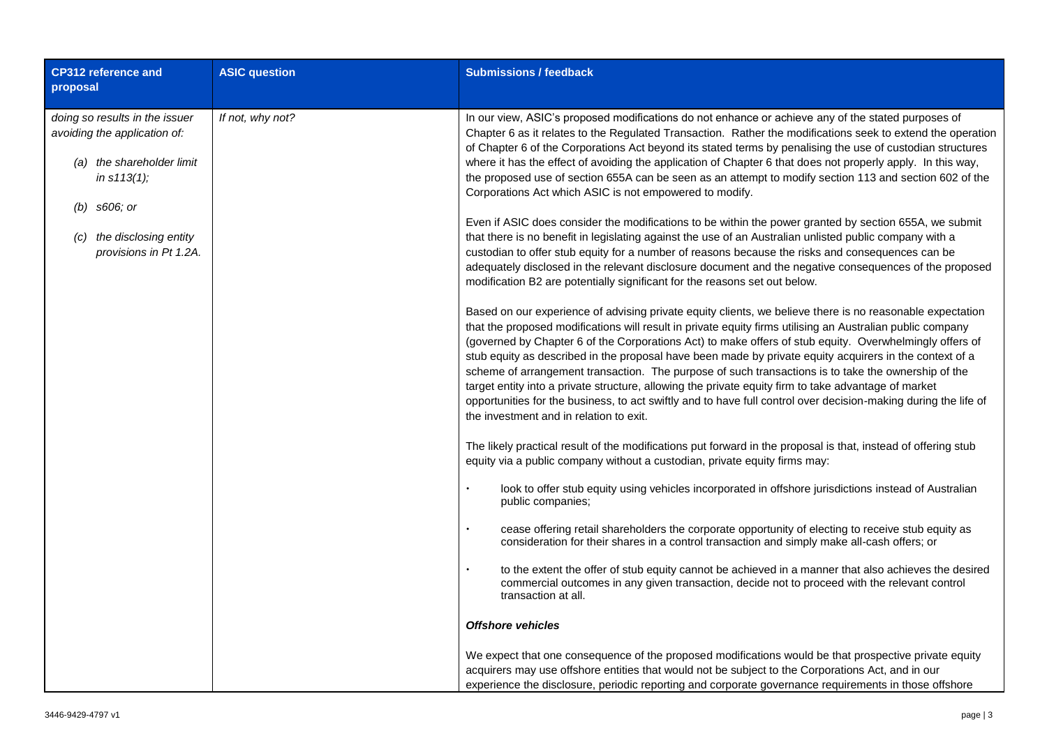| <b>CP312 reference and</b><br>proposal                                                                                                                                          | <b>ASIC question</b> | <b>Submissions / feedback</b>                                                                                                                                                                                                                                                                                                                                                                                                                                                                                                                                                                                                                                                                                                                                                                                                                                                                                                                                                                                                                                                                                                                                                                                                                                                                                                                                                                                                                                                                                                                                                                                                                                                                                                                                                                                                                                                                                                                                                                                                                                                                                                                                                                                                                                                                                                                                                                                                                                                                                                                                                                                                                                                                                                                                                                                                                                                                                                                                                                                                                                                             |
|---------------------------------------------------------------------------------------------------------------------------------------------------------------------------------|----------------------|-------------------------------------------------------------------------------------------------------------------------------------------------------------------------------------------------------------------------------------------------------------------------------------------------------------------------------------------------------------------------------------------------------------------------------------------------------------------------------------------------------------------------------------------------------------------------------------------------------------------------------------------------------------------------------------------------------------------------------------------------------------------------------------------------------------------------------------------------------------------------------------------------------------------------------------------------------------------------------------------------------------------------------------------------------------------------------------------------------------------------------------------------------------------------------------------------------------------------------------------------------------------------------------------------------------------------------------------------------------------------------------------------------------------------------------------------------------------------------------------------------------------------------------------------------------------------------------------------------------------------------------------------------------------------------------------------------------------------------------------------------------------------------------------------------------------------------------------------------------------------------------------------------------------------------------------------------------------------------------------------------------------------------------------------------------------------------------------------------------------------------------------------------------------------------------------------------------------------------------------------------------------------------------------------------------------------------------------------------------------------------------------------------------------------------------------------------------------------------------------------------------------------------------------------------------------------------------------------------------------------------------------------------------------------------------------------------------------------------------------------------------------------------------------------------------------------------------------------------------------------------------------------------------------------------------------------------------------------------------------------------------------------------------------------------------------------------------------|
| doing so results in the issuer<br>avoiding the application of:<br>(a) the shareholder limit<br>in s113(1);<br>$(b)$ s606; or<br>the disclosing entity<br>provisions in Pt 1.2A. | If not, why not?     | In our view, ASIC's proposed modifications do not enhance or achieve any of the stated purposes of<br>Chapter 6 as it relates to the Regulated Transaction. Rather the modifications seek to extend the operation<br>of Chapter 6 of the Corporations Act beyond its stated terms by penalising the use of custodian structures<br>where it has the effect of avoiding the application of Chapter 6 that does not properly apply. In this way,<br>the proposed use of section 655A can be seen as an attempt to modify section 113 and section 602 of the<br>Corporations Act which ASIC is not empowered to modify.<br>Even if ASIC does consider the modifications to be within the power granted by section 655A, we submit<br>that there is no benefit in legislating against the use of an Australian unlisted public company with a<br>custodian to offer stub equity for a number of reasons because the risks and consequences can be<br>adequately disclosed in the relevant disclosure document and the negative consequences of the proposed<br>modification B2 are potentially significant for the reasons set out below.<br>Based on our experience of advising private equity clients, we believe there is no reasonable expectation<br>that the proposed modifications will result in private equity firms utilising an Australian public company<br>(governed by Chapter 6 of the Corporations Act) to make offers of stub equity. Overwhelmingly offers of<br>stub equity as described in the proposal have been made by private equity acquirers in the context of a<br>scheme of arrangement transaction. The purpose of such transactions is to take the ownership of the<br>target entity into a private structure, allowing the private equity firm to take advantage of market<br>opportunities for the business, to act swiftly and to have full control over decision-making during the life of<br>the investment and in relation to exit.<br>The likely practical result of the modifications put forward in the proposal is that, instead of offering stub<br>equity via a public company without a custodian, private equity firms may:<br>look to offer stub equity using vehicles incorporated in offshore jurisdictions instead of Australian<br>public companies;<br>cease offering retail shareholders the corporate opportunity of electing to receive stub equity as<br>consideration for their shares in a control transaction and simply make all-cash offers; or<br>to the extent the offer of stub equity cannot be achieved in a manner that also achieves the desired<br>commercial outcomes in any given transaction, decide not to proceed with the relevant control<br>transaction at all.<br><b>Offshore vehicles</b><br>We expect that one consequence of the proposed modifications would be that prospective private equity<br>acquirers may use offshore entities that would not be subject to the Corporations Act, and in our<br>experience the disclosure, periodic reporting and corporate governance requirements in those offshore |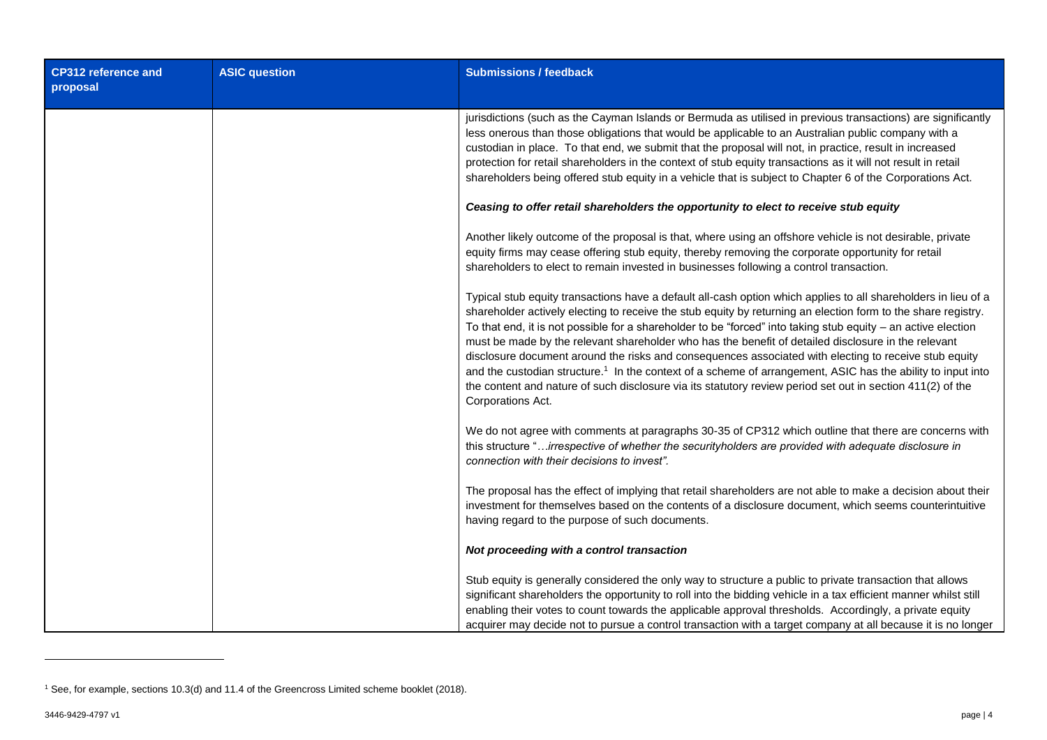| <b>CP312 reference and</b><br>proposal | <b>ASIC question</b> | <b>Submissions / feedback</b>                                                                                                                                                                                                                                                                                                                                                                                                                                                                                                                                                                                                                                                                                                                                                                                                  |
|----------------------------------------|----------------------|--------------------------------------------------------------------------------------------------------------------------------------------------------------------------------------------------------------------------------------------------------------------------------------------------------------------------------------------------------------------------------------------------------------------------------------------------------------------------------------------------------------------------------------------------------------------------------------------------------------------------------------------------------------------------------------------------------------------------------------------------------------------------------------------------------------------------------|
|                                        |                      | jurisdictions (such as the Cayman Islands or Bermuda as utilised in previous transactions) are significantly<br>less onerous than those obligations that would be applicable to an Australian public company with a<br>custodian in place. To that end, we submit that the proposal will not, in practice, result in increased<br>protection for retail shareholders in the context of stub equity transactions as it will not result in retail<br>shareholders being offered stub equity in a vehicle that is subject to Chapter 6 of the Corporations Act.                                                                                                                                                                                                                                                                   |
|                                        |                      | Ceasing to offer retail shareholders the opportunity to elect to receive stub equity                                                                                                                                                                                                                                                                                                                                                                                                                                                                                                                                                                                                                                                                                                                                           |
|                                        |                      | Another likely outcome of the proposal is that, where using an offshore vehicle is not desirable, private<br>equity firms may cease offering stub equity, thereby removing the corporate opportunity for retail<br>shareholders to elect to remain invested in businesses following a control transaction.                                                                                                                                                                                                                                                                                                                                                                                                                                                                                                                     |
|                                        |                      | Typical stub equity transactions have a default all-cash option which applies to all shareholders in lieu of a<br>shareholder actively electing to receive the stub equity by returning an election form to the share registry.<br>To that end, it is not possible for a shareholder to be "forced" into taking stub equity - an active election<br>must be made by the relevant shareholder who has the benefit of detailed disclosure in the relevant<br>disclosure document around the risks and consequences associated with electing to receive stub equity<br>and the custodian structure. <sup>1</sup> In the context of a scheme of arrangement, ASIC has the ability to input into<br>the content and nature of such disclosure via its statutory review period set out in section 411(2) of the<br>Corporations Act. |
|                                        |                      | We do not agree with comments at paragraphs 30-35 of CP312 which outline that there are concerns with<br>this structure "irrespective of whether the securityholders are provided with adequate disclosure in<br>connection with their decisions to invest".                                                                                                                                                                                                                                                                                                                                                                                                                                                                                                                                                                   |
|                                        |                      | The proposal has the effect of implying that retail shareholders are not able to make a decision about their<br>investment for themselves based on the contents of a disclosure document, which seems counterintuitive<br>having regard to the purpose of such documents.                                                                                                                                                                                                                                                                                                                                                                                                                                                                                                                                                      |
|                                        |                      | Not proceeding with a control transaction                                                                                                                                                                                                                                                                                                                                                                                                                                                                                                                                                                                                                                                                                                                                                                                      |
|                                        |                      | Stub equity is generally considered the only way to structure a public to private transaction that allows<br>significant shareholders the opportunity to roll into the bidding vehicle in a tax efficient manner whilst still<br>enabling their votes to count towards the applicable approval thresholds. Accordingly, a private equity<br>acquirer may decide not to pursue a control transaction with a target company at all because it is no longer                                                                                                                                                                                                                                                                                                                                                                       |

-

<sup>1</sup> See, for example, sections 10.3(d) and 11.4 of the Greencross Limited scheme booklet (2018).